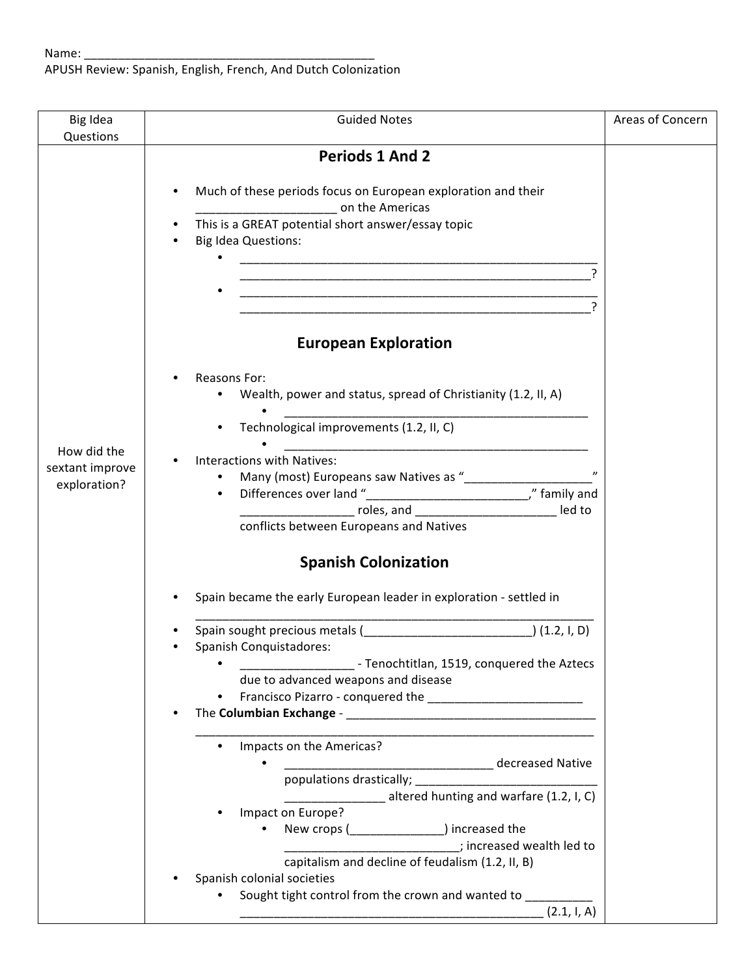APUSH Review: Spanish, English, French, And Dutch Colonization

| Big Idea                                       | <b>Guided Notes</b>                                                                                                                                                                                                                                                                                                                                                                                                                                                                                                            | Areas of Concern |
|------------------------------------------------|--------------------------------------------------------------------------------------------------------------------------------------------------------------------------------------------------------------------------------------------------------------------------------------------------------------------------------------------------------------------------------------------------------------------------------------------------------------------------------------------------------------------------------|------------------|
| Questions                                      | <b>Periods 1 And 2</b><br>Much of these periods focus on European exploration and their<br><b>Example 2</b> on the Americas<br>This is a GREAT potential short answer/essay topic<br><b>Big Idea Questions:</b><br><u> 1989 - Johann John Harry Harry Harry Harry Harry Harry Harry Harry Harry Harry Harry Harry Harry Harry Harry H</u><br><u> 1989 - Johann John Stone, mars eta biztanleria (h. 1989).</u><br><b>European Exploration</b><br>Reasons For:<br>Wealth, power and status, spread of Christianity (1.2, II, A) |                  |
| How did the<br>sextant improve<br>exploration? | Technological improvements (1.2, II, C)<br><b>Interactions with Natives:</b><br>_____________________ roles, and _____________________________ led to<br>conflicts between Europeans and Natives<br><b>Spanish Colonization</b><br>Spain became the early European leader in exploration - settled in                                                                                                                                                                                                                          |                  |
|                                                | Spanish Conquistadores:<br>- Tenochtitlan, 1519, conquered the Aztecs<br>due to advanced weapons and disease<br>Impacts on the Americas?<br>decreased Native<br>populations drastically;<br>management of the set of the set of the set of the set of the set of the set of the set of the set of the set of the set of the set of the set of the set of the set of the set of the set of the se<br>altered hunting and warfare (1.2, I, C)                                                                                    |                  |
|                                                | Impact on Europe?<br>New crops ( ) increased the<br>; increased wealth led to<br>capitalism and decline of feudalism (1.2, II, B)<br>Spanish colonial societies<br>Sought tight control from the crown and wanted to<br>(2.1, 1, A)                                                                                                                                                                                                                                                                                            |                  |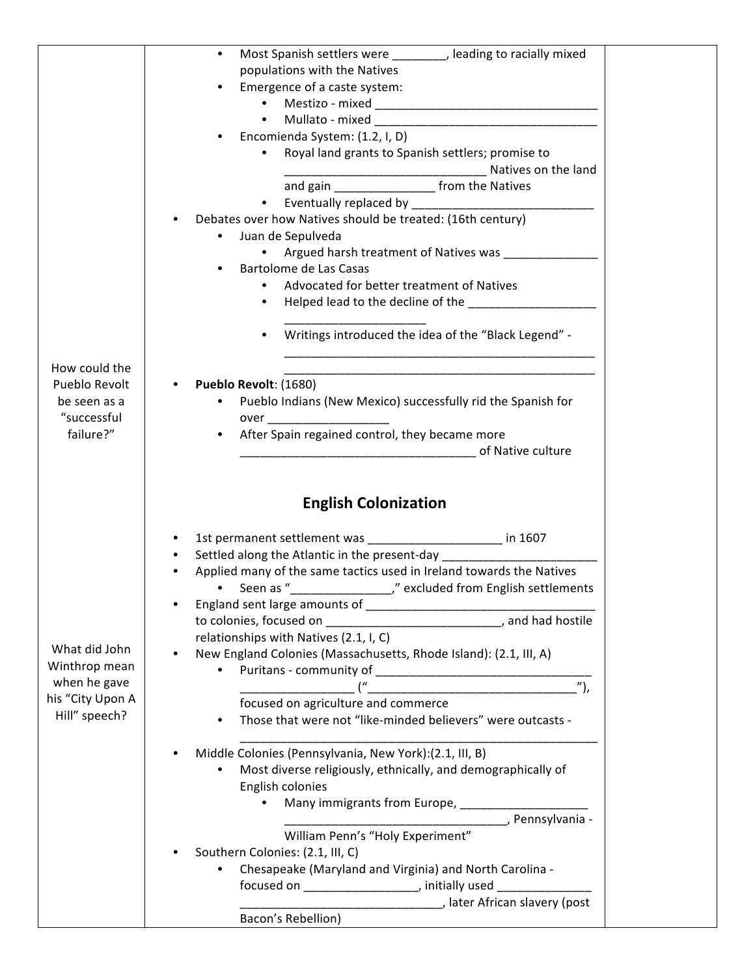|                               | Most Spanish settlers were ________, leading to racially mixed<br>$\bullet$    |
|-------------------------------|--------------------------------------------------------------------------------|
|                               | populations with the Natives                                                   |
|                               | Emergence of a caste system:                                                   |
|                               |                                                                                |
|                               | $\bullet$                                                                      |
|                               | Encomienda System: (1.2, I, D)<br>$\bullet$                                    |
|                               | Royal land grants to Spanish settlers; promise to                              |
|                               |                                                                                |
|                               | and gain _____________________ from the Natives                                |
|                               | $\bullet$                                                                      |
|                               | Debates over how Natives should be treated: (16th century)                     |
|                               | Juan de Sepulveda                                                              |
|                               | Argued harsh treatment of Natives was __________<br>$\bullet$                  |
|                               | Bartolome de Las Casas<br>$\bullet$                                            |
|                               | Advocated for better treatment of Natives                                      |
|                               | Helped lead to the decline of the ________________<br>$\bullet$                |
|                               |                                                                                |
|                               | Writings introduced the idea of the "Black Legend" -<br>$\bullet$              |
|                               |                                                                                |
| How could the                 |                                                                                |
| Pueblo Revolt                 | Pueblo Revolt: (1680)                                                          |
| be seen as a                  | Pueblo Indians (New Mexico) successfully rid the Spanish for                   |
| "successful                   |                                                                                |
| failure?"                     | After Spain regained control, they became more<br>$\bullet$                    |
|                               | <b>Example 2018</b> of Native culture                                          |
|                               |                                                                                |
|                               | 1st permanent settlement was ______________________ in 1607                    |
|                               | Settled along the Atlantic in the present-day                                  |
|                               |                                                                                |
|                               | Applied many of the same tactics used in Ireland towards the Natives           |
|                               | $\bullet$                                                                      |
|                               |                                                                                |
|                               | to colonies, focused on ________________________________, and had hostile      |
|                               | relationships with Natives (2.1, I, C)                                         |
| What did John                 | New England Colonies (Massachusetts, Rhode Island): (2.1, III, A)<br>$\bullet$ |
|                               |                                                                                |
| Winthrop mean<br>when he gave |                                                                                |
|                               | focused on agriculture and commerce                                            |
| Hill" speech?                 | Those that were not "like-minded believers" were outcasts -<br>$\bullet$       |
|                               | Middle Colonies (Pennsylvania, New York):(2.1, III, B)                         |
|                               |                                                                                |
|                               | Most diverse religiously, ethnically, and demographically of                   |
|                               | English colonies<br>$\bullet$                                                  |
| his "City Upon A              | Many immigrants from Europe, __________________                                |
|                               | Pennsylvania -                                                                 |
|                               | William Penn's "Holy Experiment"                                               |
|                               | Southern Colonies: (2.1, III, C)                                               |
|                               | Chesapeake (Maryland and Virginia) and North Carolina -                        |
|                               | focused on ______________________, initially used ___________                  |
|                               | Later African slavery (post<br>Bacon's Rebellion)                              |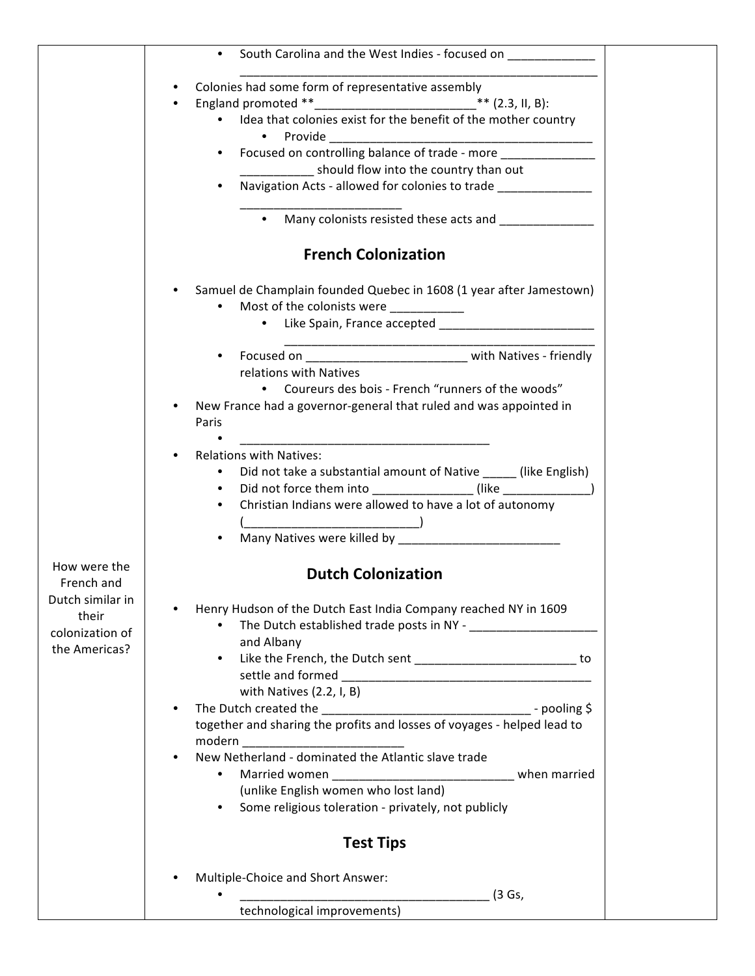|                            | South Carolina and the West Indies - focused on                                                |  |
|----------------------------|------------------------------------------------------------------------------------------------|--|
|                            | Colonies had some form of representative assembly<br>$\bullet$                                 |  |
|                            | ** $(2.3, 11, 8)$ :<br>$\bullet$                                                               |  |
|                            | • Idea that colonies exist for the benefit of the mother country<br>Provide                    |  |
|                            | Focused on controlling balance of trade - more<br>$\bullet$                                    |  |
|                            | _________ should flow into the country than out                                                |  |
|                            | Navigation Acts - allowed for colonies to trade                                                |  |
|                            |                                                                                                |  |
|                            | • Many colonists resisted these acts and ______________                                        |  |
|                            | <b>French Colonization</b>                                                                     |  |
|                            | Samuel de Champlain founded Quebec in 1608 (1 year after Jamestown)                            |  |
|                            | Most of the colonists were ___________<br>$\bullet$                                            |  |
|                            | • Like Spain, France accepted _________________                                                |  |
|                            |                                                                                                |  |
|                            | $\bullet$                                                                                      |  |
|                            | relations with Natives<br>• Coureurs des bois - French "runners of the woods"                  |  |
|                            | New France had a governor-general that ruled and was appointed in<br>$\bullet$                 |  |
|                            | Paris                                                                                          |  |
|                            |                                                                                                |  |
|                            | <b>Relations with Natives:</b><br>$\bullet$                                                    |  |
|                            | Did not take a substantial amount of Native _____ (like English)                               |  |
|                            | Did not force them into ________________(like ___________________________________<br>$\bullet$ |  |
|                            | Christian Indians were allowed to have a lot of autonomy                                       |  |
|                            |                                                                                                |  |
|                            | $\bullet$                                                                                      |  |
| How were the<br>French and | <b>Dutch Colonization</b>                                                                      |  |
| Dutch similar in           | Henry Hudson of the Dutch East India Company reached NY in 1609                                |  |
| their                      | $\bullet$                                                                                      |  |
| colonization of            | and Albany                                                                                     |  |
| the Americas?              | Like the French, the Dutch sent _____________________________ to<br>$\bullet$                  |  |
|                            |                                                                                                |  |
|                            | with Natives $(2.2, I, B)$                                                                     |  |
|                            | $\bullet$                                                                                      |  |
|                            | together and sharing the profits and losses of voyages - helped lead to                        |  |
|                            | modern ________________________________                                                        |  |
|                            | New Netherland - dominated the Atlantic slave trade<br>$\bullet$                               |  |
|                            | Married women ________________________________ when married<br>$\bullet$                       |  |
|                            | (unlike English women who lost land)<br>$\bullet$                                              |  |
|                            | Some religious toleration - privately, not publicly                                            |  |
|                            | <b>Test Tips</b>                                                                               |  |
|                            | Multiple-Choice and Short Answer:<br>$\bullet$                                                 |  |
|                            | (3 Gs,                                                                                         |  |
|                            | technological improvements)                                                                    |  |